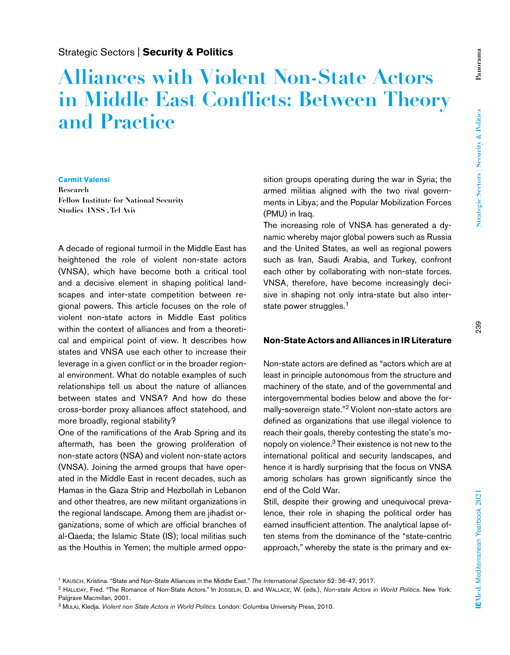**Panorama**

Panorama

# **Alliances with Violent Non-State Actors in Middle East Conflicts: Between Theory and Practice**

#### **Carmit Valensi**

**Research Fellow Institute for National Security Studies (INSS), Tel Aviv**

A decade of regional turmoil in the Middle East has heightened the role of violent non-state actors (VNSA), which have become both a critical tool and a decisive element in shaping political landscapes and inter-state competition between regional powers. This article focuses on the role of violent non-state actors in Middle East politics within the context of alliances and from a theoretical and empirical point of view. It describes how states and VNSA use each other to increase their leverage in a given conflict or in the broader regional environment. What do notable examples of such relationships tell us about the nature of alliances between states and VNSA? And how do these cross-border proxy alliances affect statehood, and more broadly, regional stability?

One of the ramifications of the Arab Spring and its aftermath, has been the growing proliferation of non-state actors (NSA) and violent non-state actors (VNSA). Joining the armed groups that have operated in the Middle East in recent decades, such as Hamas in the Gaza Strip and Hezbollah in Lebanon and other theatres, are new militant organizations in the regional landscape. Among them are jihadist organizations, some of which are official branches of al-Qaeda; the Islamic State (IS); local militias such as the Houthis in Yemen; the multiple armed opposition groups operating during the war in Syria; the armed militias aligned with the two rival governments in Libya; and the Popular Mobilization Forces (PMU) in Iraq.

The increasing role of VNSA has generated a dynamic whereby major global powers such as Russia and the United States, as well as regional powers such as Iran, Saudi Arabia, and Turkey, confront each other by collaborating with non-state forces. VNSA, therefore, have become increasingly decisive in shaping not only intra-state but also interstate power struggles.<sup>1</sup>

### **Non-State Actors and Alliances in IR Literature**

Non-state actors are defined as "actors which are at least in principle autonomous from the structure and machinery of the state, and of the governmental and intergovernmental bodies below and above the formally-sovereign state."2 Violent non-state actors are defined as organizations that use illegal violence to reach their goals, thereby contesting the state's monopoly on violence.3 Their existence is not new to the international political and security landscapes, and hence it is hardly surprising that the focus on VNSA among scholars has grown significantly since the end of the Cold War.

Still, despite their growing and unequivocal prevalence, their role in shaping the political order has earned insufficient attention. The analytical lapse often stems from the dominance of the "state-centric approach," whereby the state is the primary and ex-

<sup>2</sup> Halliday, Fred. "The Romance of Non-State Actors." In Josselin, D. and Wallace, W. (eds.), *Non-state Actors in World Politics*. New York: Palgrave Macmillan, 2001.

<sup>1</sup> Kausch, Kristina. "State and Non-State Alliances in the Middle East." *The International Spectator* 52: 36-47, 2017.

<sup>3</sup> Mulaj, Kledja. *Violent non State Actors in World Politics*. London: Columbia University Press, 2010.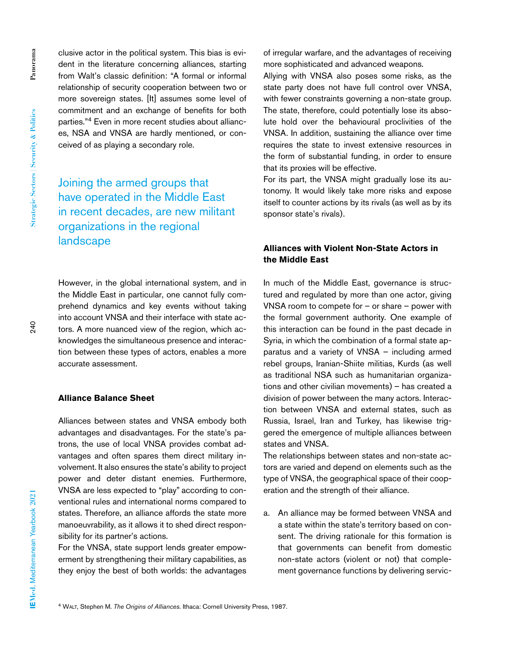clusive actor in the political system. This bias is evident in the literature concerning alliances, starting from Walt's classic definition: "A formal or informal relationship of security cooperation between two or more sovereign states. [It] assumes some level of commitment and an exchange of benefits for both parties."4 Even in more recent studies about alliances, NSA and VNSA are hardly mentioned, or conceived of as playing a secondary role.

Joining the armed groups that have operated in the Middle East in recent decades, are new militant organizations in the regional landscape

However, in the global international system, and in the Middle East in particular, one cannot fully comprehend dynamics and key events without taking into account VNSA and their interface with state actors. A more nuanced view of the region, which acknowledges the simultaneous presence and interaction between these types of actors, enables a more accurate assessment.

## **Alliance Balance Sheet**

Alliances between states and VNSA embody both advantages and disadvantages. For the state's patrons, the use of local VNSA provides combat advantages and often spares them direct military involvement. It also ensures the state's ability to project power and deter distant enemies. Furthermore, VNSA are less expected to "play" according to conventional rules and international norms compared to states. Therefore, an alliance affords the state more manoeuvrability, as it allows it to shed direct responsibility for its partner's actions.

For the VNSA, state support lends greater empowerment by strengthening their military capabilities, as they enjoy the best of both worlds: the advantages

of irregular warfare, and the advantages of receiving more sophisticated and advanced weapons.

Allying with VNSA also poses some risks, as the state party does not have full control over VNSA, with fewer constraints governing a non-state group. The state, therefore, could potentially lose its absolute hold over the behavioural proclivities of the VNSA. In addition, sustaining the alliance over time requires the state to invest extensive resources in the form of substantial funding, in order to ensure that its proxies will be effective.

For its part, the VNSA might gradually lose its autonomy. It would likely take more risks and expose itself to counter actions by its rivals (as well as by its sponsor state's rivals).

# **Alliances with Violent Non-State Actors in the Middle East**

In much of the Middle East, governance is structured and regulated by more than one actor, giving VNSA room to compete for – or share – power with the formal government authority. One example of this interaction can be found in the past decade in Syria, in which the combination of a formal state apparatus and a variety of VNSA – including armed rebel groups, Iranian-Shiite militias, Kurds (as well as traditional NSA such as humanitarian organizations and other civilian movements) – has created a division of power between the many actors. Interaction between VNSA and external states, such as Russia, Israel, Iran and Turkey, has likewise triggered the emergence of multiple alliances between states and VNSA.

The relationships between states and non-state actors are varied and depend on elements such as the type of VNSA, the geographical space of their cooperation and the strength of their alliance.

a. An alliance may be formed between VNSA and a state within the state's territory based on consent. The driving rationale for this formation is that governments can benefit from domestic non-state actors (violent or not) that complement governance functions by delivering servic-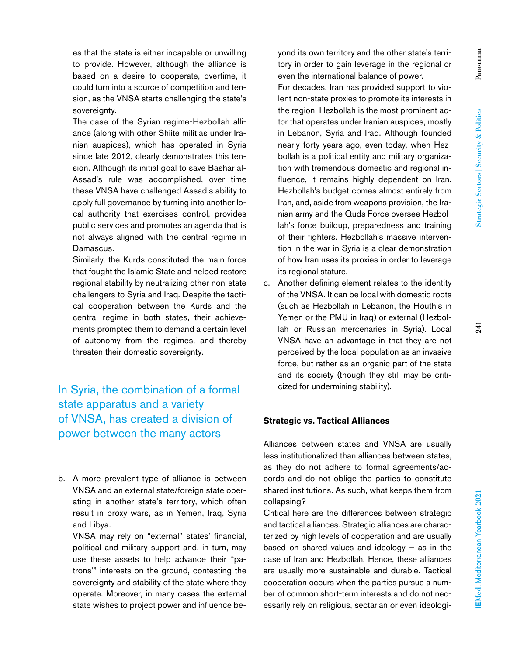Panorama **Panorama**

even the international balance of power. For decades, Iran has provided support to violent non-state proxies to promote its interests in the region. Hezbollah is the most prominent actor that operates under Iranian auspices, mostly in Lebanon, Syria and Iraq. Although founded nearly forty years ago, even today, when Hez-

yond its own territory and the other state's territory in order to gain leverage in the regional or

bollah is a political entity and military organization with tremendous domestic and regional influence, it remains highly dependent on Iran. Hezbollah's budget comes almost entirely from Iran, and, aside from weapons provision, the Iranian army and the Quds Force oversee Hezbollah's force buildup, preparedness and training of their fighters. Hezbollah's massive intervention in the war in Syria is a clear demonstration of how Iran uses its proxies in order to leverage its regional stature.

c. Another defining element relates to the identity of the VNSA. It can be local with domestic roots (such as Hezbollah in Lebanon, the Houthis in Yemen or the PMU in Iraq) or external (Hezbollah or Russian mercenaries in Syria). Local VNSA have an advantage in that they are not perceived by the local population as an invasive force, but rather as an organic part of the state and its society (though they still may be criticized for undermining stability).

## **Strategic vs. Tactical Alliances**

Alliances between states and VNSA are usually less institutionalized than alliances between states, as they do not adhere to formal agreements/accords and do not oblige the parties to constitute shared institutions. As such, what keeps them from collapsing?

Critical here are the differences between strategic and tactical alliances. Strategic alliances are characterized by high levels of cooperation and are usually based on shared values and ideology  $-$  as in the case of Iran and Hezbollah. Hence, these alliances are usually more sustainable and durable. Tactical cooperation occurs when the parties pursue a number of common short-term interests and do not necessarily rely on religious, sectarian or even ideologi-

es that the state is either incapable or unwilling to provide. However, although the alliance is based on a desire to cooperate, overtime, it could turn into a source of competition and tension, as the VNSA starts challenging the state's sovereignty.

The case of the Syrian regime-Hezbollah alliance (along with other Shiite militias under Iranian auspices), which has operated in Syria since late 2012, clearly demonstrates this tension. Although its initial goal to save Bashar al-Assad's rule was accomplished, over time these VNSA have challenged Assad's ability to apply full governance by turning into another local authority that exercises control, provides public services and promotes an agenda that is not always aligned with the central regime in Damascus.

Similarly, the Kurds constituted the main force that fought the Islamic State and helped restore regional stability by neutralizing other non-state challengers to Syria and Iraq. Despite the tactical cooperation between the Kurds and the central regime in both states, their achievements prompted them to demand a certain level of autonomy from the regimes, and thereby threaten their domestic sovereignty.

In Syria, the combination of a formal state apparatus and a variety of VNSA, has created a division of power between the many actors

b. A more prevalent type of alliance is between VNSA and an external state/foreign state operating in another state's territory, which often result in proxy wars, as in Yemen, Iraq, Syria and Libya.

VNSA may rely on "external" states' financial, political and military support and, in turn, may use these assets to help advance their "patrons'" interests on the ground, contesting the sovereignty and stability of the state where they operate. Moreover, in many cases the external state wishes to project power and influence be